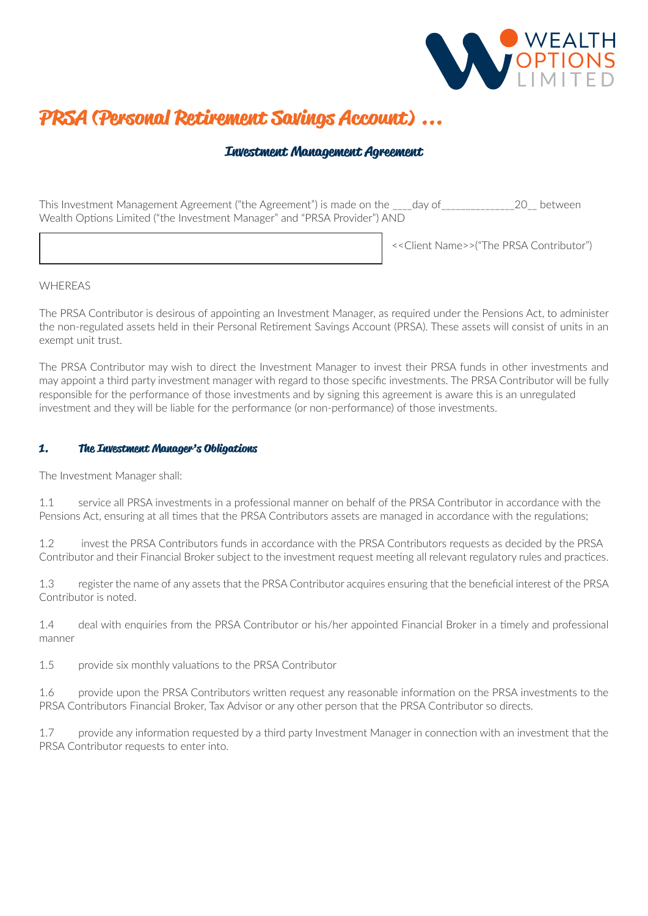

# **PRSA (Personal Retirement Savings Account) ...**

# **Investment Management Agreement**

This Investment Management Agreement ("the Agreement") is made on the \_\_\_\_day of\_\_\_\_\_\_\_\_\_\_\_\_\_\_\_20\_\_ between Wealth Options Limited ("the Investment Manager" and "PRSA Provider") AND

<<Client Name>>("The PRSA Contributor")

# WHEREAS

The PRSA Contributor is desirous of appointing an Investment Manager, as required under the Pensions Act, to administer the non-regulated assets held in their Personal Retirement Savings Account (PRSA). These assets will consist of units in an exempt unit trust.

The PRSA Contributor may wish to direct the Investment Manager to invest their PRSA funds in other investments and may appoint a third party investment manager with regard to those specific investments. The PRSA Contributor will be fully responsible for the performance of those investments and by signing this agreement is aware this is an unregulated investment and they will be liable for the performance (or non-performance) of those investments.

# **1. The Investment Manager's Obligations**

The Investment Manager shall:

1.1 service all PRSA investments in a professional manner on behalf of the PRSA Contributor in accordance with the Pensions Act, ensuring at all times that the PRSA Contributors assets are managed in accordance with the regulations;

1.2 invest the PRSA Contributors funds in accordance with the PRSA Contributors requests as decided by the PRSA Contributor and their Financial Broker subject to the investment request meeting all relevant regulatory rules and practices.

1.3 register the name of any assets that the PRSA Contributor acquires ensuring that the beneficial interest of the PRSA Contributor is noted.

1.4 deal with enquiries from the PRSA Contributor or his/her appointed Financial Broker in a timely and professional manner

1.5 provide six monthly valuations to the PRSA Contributor

1.6 provide upon the PRSA Contributors written request any reasonable information on the PRSA investments to the PRSA Contributors Financial Broker, Tax Advisor or any other person that the PRSA Contributor so directs.

1.7 provide any information requested by a third party Investment Manager in connection with an investment that the PRSA Contributor requests to enter into.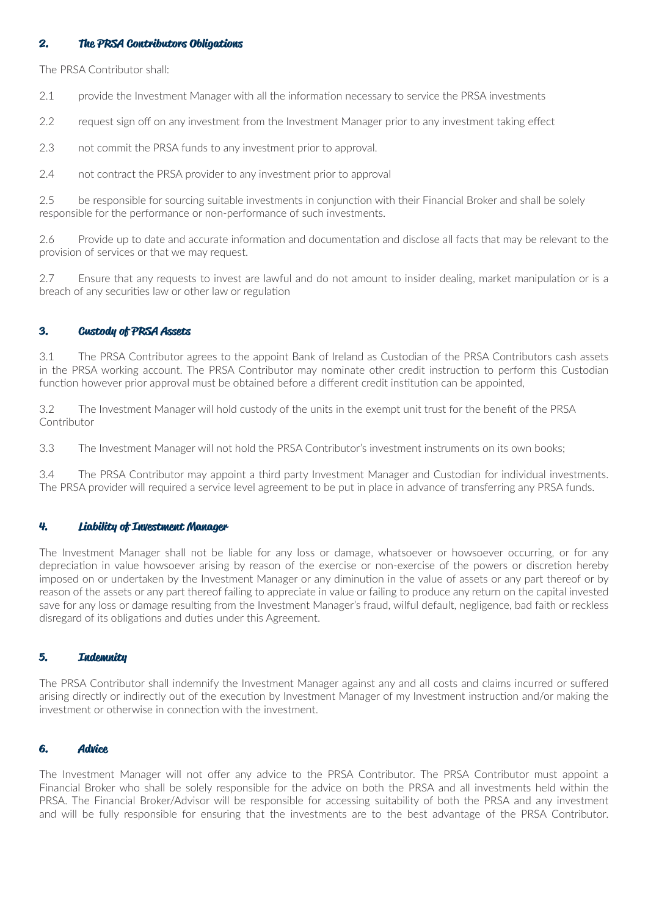# **2. The PRSA Contributors Obligations**

The PRSA Contributor shall:

2.1 provide the Investment Manager with all the information necessary to service the PRSA investments

2.2 request sign off on any investment from the Investment Manager prior to any investment taking effect

2.3 not commit the PRSA funds to any investment prior to approval.

2.4 not contract the PRSA provider to any investment prior to approval

2.5 be responsible for sourcing suitable investments in conjunction with their Financial Broker and shall be solely responsible for the performance or non-performance of such investments.

2.6 Provide up to date and accurate information and documentation and disclose all facts that may be relevant to the provision of services or that we may request.

2.7 Ensure that any requests to invest are lawful and do not amount to insider dealing, market manipulation or is a breach of any securities law or other law or regulation

# **3. Custody of PRSA Assets**

3.1 The PRSA Contributor agrees to the appoint Bank of Ireland as Custodian of the PRSA Contributors cash assets in the PRSA working account. The PRSA Contributor may nominate other credit instruction to perform this Custodian function however prior approval must be obtained before a different credit institution can be appointed,

3.2 The Investment Manager will hold custody of the units in the exempt unit trust for the benefit of the PRSA Contributor

3.3 The Investment Manager will not hold the PRSA Contributor's investment instruments on its own books;

3.4 The PRSA Contributor may appoint a third party Investment Manager and Custodian for individual investments. The PRSA provider will required a service level agreement to be put in place in advance of transferring any PRSA funds.

#### **4. Liability of Investment Manager**

The Investment Manager shall not be liable for any loss or damage, whatsoever or howsoever occurring, or for any depreciation in value howsoever arising by reason of the exercise or non-exercise of the powers or discretion hereby imposed on or undertaken by the Investment Manager or any diminution in the value of assets or any part thereof or by reason of the assets or any part thereof failing to appreciate in value or failing to produce any return on the capital invested save for any loss or damage resulting from the Investment Manager's fraud, wilful default, negligence, bad faith or reckless disregard of its obligations and duties under this Agreement.

# **5. Indemnity**

The PRSA Contributor shall indemnify the Investment Manager against any and all costs and claims incurred or suffered arising directly or indirectly out of the execution by Investment Manager of my Investment instruction and/or making the investment or otherwise in connection with the investment.

# **6. Advice**

The Investment Manager will not offer any advice to the PRSA Contributor. The PRSA Contributor must appoint a Financial Broker who shall be solely responsible for the advice on both the PRSA and all investments held within the PRSA. The Financial Broker/Advisor will be responsible for accessing suitability of both the PRSA and any investment and will be fully responsible for ensuring that the investments are to the best advantage of the PRSA Contributor.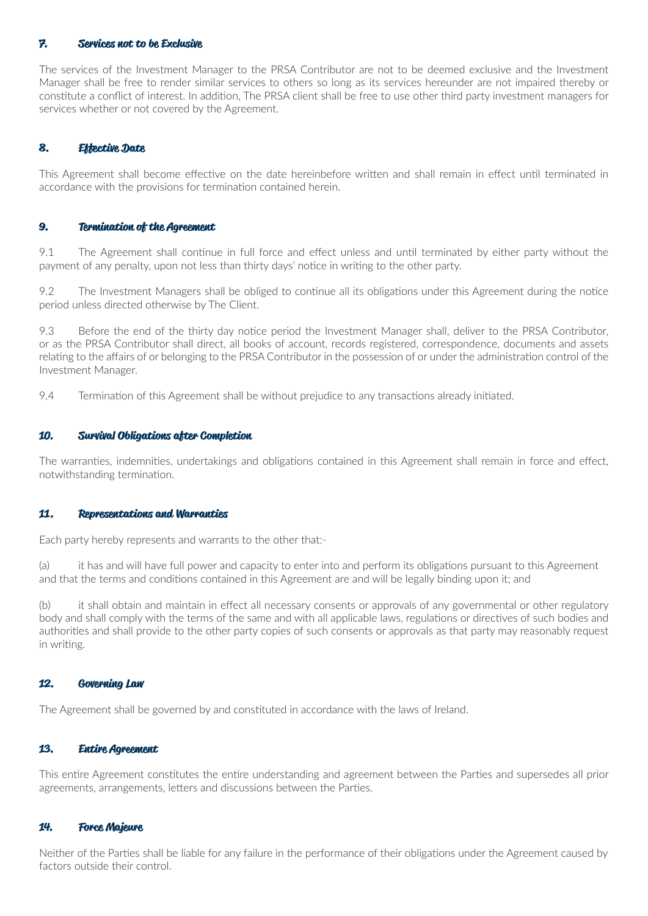# **7. Services not to be Exclusive**

The services of the Investment Manager to the PRSA Contributor are not to be deemed exclusive and the Investment Manager shall be free to render similar services to others so long as its services hereunder are not impaired thereby or constitute a conflict of interest. In addition, The PRSA client shall be free to use other third party investment managers for services whether or not covered by the Agreement.

# **8. Effective Date**

This Agreement shall become effective on the date hereinbefore written and shall remain in effect until terminated in accordance with the provisions for termination contained herein.

#### **9. Termination of the Agreement**

9.1 The Agreement shall continue in full force and effect unless and until terminated by either party without the payment of any penalty, upon not less than thirty days' notice in writing to the other party.

9.2 The Investment Managers shall be obliged to continue all its obligations under this Agreement during the notice period unless directed otherwise by The Client.

9.3 Before the end of the thirty day notice period the Investment Manager shall, deliver to the PRSA Contributor, or as the PRSA Contributor shall direct, all books of account, records registered, correspondence, documents and assets relating to the affairs of or belonging to the PRSA Contributor in the possession of or under the administration control of the Investment Manager.

9.4 Termination of this Agreement shall be without prejudice to any transactions already initiated.

#### **10. Survival Obligations after Completion**

The warranties, indemnities, undertakings and obligations contained in this Agreement shall remain in force and effect, notwithstanding termination.

#### **11. Representations and Warranties**

Each party hereby represents and warrants to the other that:-

(a) it has and will have full power and capacity to enter into and perform its obligations pursuant to this Agreement and that the terms and conditions contained in this Agreement are and will be legally binding upon it; and

(b) it shall obtain and maintain in effect all necessary consents or approvals of any governmental or other regulatory body and shall comply with the terms of the same and with all applicable laws, regulations or directives of such bodies and authorities and shall provide to the other party copies of such consents or approvals as that party may reasonably request in writing.

## **12. Governing Law**

The Agreement shall be governed by and constituted in accordance with the laws of Ireland.

#### **13. Entire Agreement**

This entire Agreement constitutes the entire understanding and agreement between the Parties and supersedes all prior agreements, arrangements, letters and discussions between the Parties.

## **14. Force Majeure**

Neither of the Parties shall be liable for any failure in the performance of their obligations under the Agreement caused by factors outside their control.